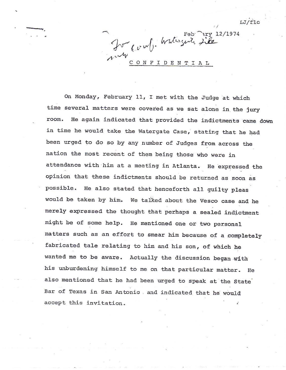$LJ/flc$ 

 $Feb$  ary 12/1974 Ju- comb. Watergerte site 1. TU CONFIDENT

On Monday, February 11, I met with the Judge at which time several matters were covered as we sat alone in the jury room. He again indicated that provided the indictments came down in time he would take the Watergate Case, stating that he had been urged to do so by any number of Judges from across the nation the most recent of them being those who were in attendance with him at a meeting in Atlanta. He expressed the opinion that these indictments should. be returned. as soon as possible. He also stated that henceforth all guilty pleas would be taken by him. We talked about the Vesco case and he merely expressed the thought that perhaps a sealed indictment might be of some he1p. He mentioned, one or two personal matters such as an effort to smear him because of a completely fabricated tale relating to him and his son, of which he wanted me to be aware. Actually the discussion began with his unburdening himself to me on that particular matter. He also mentioned that he had been urged to speak at the State Bar of Texas in San Antonio and indicated that he would accept this invitation.

.